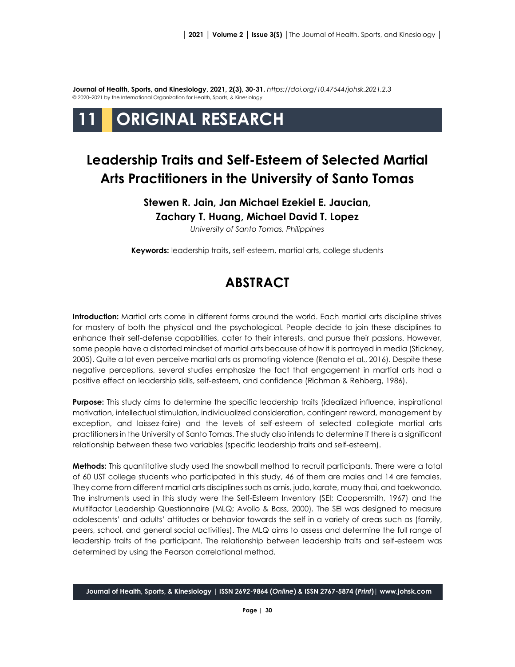**Journal of Health, Sports, and Kinesiology, 2021, 2(3), 30-31.** *<https://doi.org/10.47544/johsk.2021.2.3>* © 2020–2021 by the International Organization for Health, Sports, & Kinesiology

# **11 ORIGINAL RESEARCH**

## **Leadership Traits and Self-Esteem of Selected Martial Arts Practitioners in the University of Santo Tomas**

### **Stewen R. Jain, Jan Michael Ezekiel E. Jaucian, Zachary T. Huang, Michael David T. Lopez**

*University of Santo Tomas, Philippines*

**Keywords:** leadership traits**,** self-esteem, martial arts, college students

### **ABSTRACT**

**Introduction:** Martial arts come in different forms around the world. Each martial arts discipline strives for mastery of both the physical and the psychological. People decide to join these disciplines to enhance their self-defense capabilities, cater to their interests, and pursue their passions. However, some people have a distorted mindset of martial arts because of how it is portrayed in media (Stickney, 2005). Quite a lot even perceive martial arts as promoting violence (Renata et al., 2016). Despite these negative perceptions, several studies emphasize the fact that engagement in martial arts had a positive effect on leadership skills, self-esteem, and confidence (Richman & Rehberg, 1986).

**Purpose:** This study aims to determine the specific leadership traits (idealized influence, inspirational motivation, intellectual stimulation, individualized consideration, contingent reward, management by exception, and laissez-faire) and the levels of self-esteem of selected collegiate martial arts practitioners in the University of Santo Tomas. The study also intends to determine if there is a significant relationship between these two variables (specific leadership traits and self-esteem).

**Methods:** This quantitative study used the snowball method to recruit participants. There were a total of 60 UST college students who participated in this study, 46 of them are males and 14 are females. They come from different martial arts disciplines such as arnis, judo, karate, muay thai, and taekwondo. The instruments used in this study were the Self-Esteem Inventory (SEI; Coopersmith, 1967) and the Multifactor Leadership Questionnaire (MLQ; Avolio & Bass, 2000). The SEI was designed to measure adolescents' and adults' attitudes or behavior towards the self in a variety of areas such as (family, peers, school, and general social activities). The MLQ aims to assess and determine the full range of leadership traits of the participant. The relationship between leadership traits and self-esteem was determined by using the Pearson correlational method.